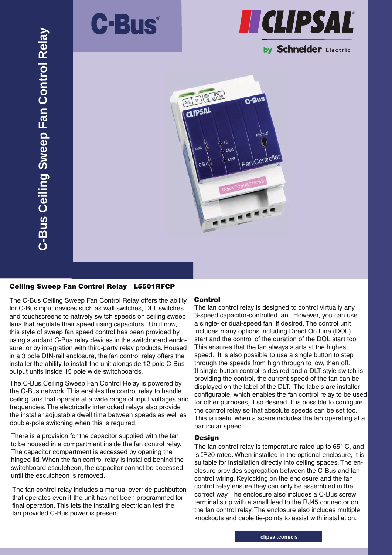



# by Schneider Electric



### Ceiling Sweep Fan Control Relay L5501RFCP

The C-Bus Ceiling Sweep Fan Control Relay offers the ability for C-Bus input devices such as wall switches, DLT switches and touchscreens to natively switch speeds on ceiling sweep fans that regulate their speed using capacitors. Until now, this style of sweep fan speed control has been provided by using standard C-Bus relay devices in the switchboard enclosure, or by integration with third-party relay products. Housed in a 3 pole DIN-rail enclosure, the fan control relay offers the installer the ability to install the unit alongside 12 pole C-Bus output units inside 15 pole wide switchboards.

The C-Bus Ceiling Sweep Fan Control Relay is powered by the C-Bus network. This enables the control relay to handle ceiling fans that operate at a wide range of input voltages and frequencies. The electrically interlocked relays also provide the installer adjustable dwell time between speeds as well as double-pole switching when this is required.

There is a provision for the capacitor supplied with the fan to be housed in a compartment inside the fan control relay. The capacitor compartment is accessed by opening the hinged lid. When the fan control relay is installed behind the switchboard escutcheon, the capacitor cannot be accessed until the escutcheon is removed.

The fan control relay includes a manual override pushbutton that operates even if the unit has not been programmed for final operation. This lets the installing electrician test the fan provided C-Bus power is present.

### Control

The fan control relay is designed to control virtually any 3-speed capacitor-controlled fan. However, you can use a single- or dual-speed fan, if desired. The control unit includes many options including Direct On Line (DOL) start and the control of the duration of the DOL start too. This ensures that the fan always starts at the highest speed. It is also possible to use a single button to step through the speeds from high through to low, then off. If single-button control is desired and a DLT style switch is providing the control, the current speed of the fan can be displayed on the label of the DLT. The labels are installer configurable, which enables the fan control relay to be used for other purposes, if so desired. It is possible to configure the control relay so that absolute speeds can be set too. This is useful when a scene includes the fan operating at a particular speed.

### Design

The fan control relay is temperature rated up to 65° C, and is IP20 rated. When installed in the optional enclosure, it is suitable for installation directly into ceiling spaces. The enclosure provides segregation between the C-Bus and fan control wiring. Keylocking on the enclosure and the fan control relay ensure they can only be assembled in the correct way. The enclosure also includes a C-Bus screw terminal strip with a small lead to the RJ45 connector on the fan control relay. The enclosure also includes multiple knockouts and cable tie-points to assist with installation.

**clipsal.com/cis**